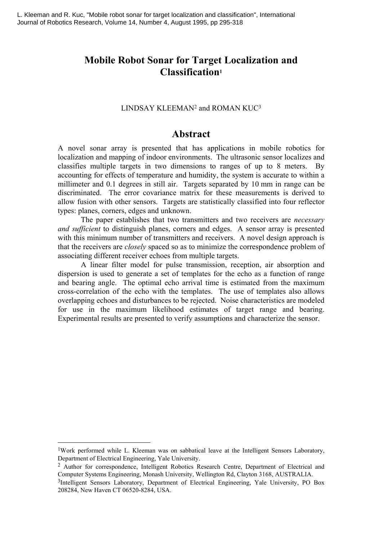# **Mobile Robot Sonar for Target Localization and Classificatio[n1](#page-0-0)**

#### LINDSAY KLEEMA[N2](#page-0-1) and ROMAN KUC[3](#page-0-2)

## **Abstract**

A novel sonar array is presented that has applications in mobile robotics for localization and mapping of indoor environments. The ultrasonic sensor localizes and classifies multiple targets in two dimensions to ranges of up to 8 meters. By accounting for effects of temperature and humidity, the system is accurate to within a millimeter and 0.1 degrees in still air. Targets separated by 10 mm in range can be discriminated. The error covariance matrix for these measurements is derived to allow fusion with other sensors. Targets are statistically classified into four reflector types: planes, corners, edges and unknown.

The paper establishes that two transmitters and two receivers are *necessary and sufficient* to distinguish planes, corners and edges. A sensor array is presented with this minimum number of transmitters and receivers. A novel design approach is that the receivers are *closely* spaced so as to minimize the correspondence problem of associating different receiver echoes from multiple targets.

A linear filter model for pulse transmission, reception, air absorption and dispersion is used to generate a set of templates for the echo as a function of range and bearing angle. The optimal echo arrival time is estimated from the maximum cross-correlation of the echo with the templates. The use of templates also allows overlapping echoes and disturbances to be rejected. Noise characteristics are modeled for use in the maximum likelihood estimates of target range and bearing. Experimental results are presented to verify assumptions and characterize the sensor.

 $\overline{a}$ 

<span id="page-0-0"></span><sup>&</sup>lt;sup>1</sup>Work performed while L. Kleeman was on sabbatical leave at the Intelligent Sensors Laboratory, Department of Electrical Engineering, Yale University.

<span id="page-0-1"></span><sup>&</sup>lt;sup>2</sup> Author for correspondence, Intelligent Robotics Research Centre, Department of Electrical and Computer Systems Engineering, Monash University, Wellington Rd, Clayton 3168, AUSTRALIA.

<span id="page-0-2"></span><sup>3</sup>Intelligent Sensors Laboratory, Department of Electrical Engineering, Yale University, PO Box 208284, New Haven CT 06520-8284, USA.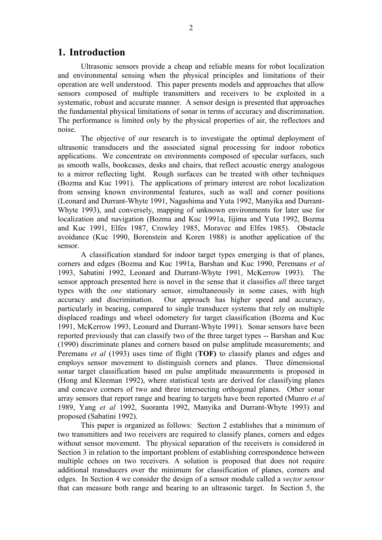## **1. Introduction**

Ultrasonic sensors provide a cheap and reliable means for robot localization and environmental sensing when the physical principles and limitations of their operation are well understood. This paper presents models and approaches that allow sensors composed of multiple transmitters and receivers to be exploited in a systematic, robust and accurate manner. A sensor design is presented that approaches the fundamental physical limitations of sonar in terms of accuracy and discrimination. The performance is limited only by the physical properties of air, the reflectors and noise.

The objective of our research is to investigate the optimal deployment of ultrasonic transducers and the associated signal processing for indoor robotics applications. We concentrate on environments composed of specular surfaces, such as smooth walls, bookcases, desks and chairs, that reflect acoustic energy analogous to a mirror reflecting light. Rough surfaces can be treated with other techniques (Bozma and Kuc 1991). The applications of primary interest are robot localization from sensing known environmental features, such as wall and corner positions (Leonard and Durrant-Whyte 1991, Nagashima and Yuta 1992, Manyika and Durrant-Whyte 1993), and conversely, mapping of unknown environments for later use for localization and navigation (Bozma and Kuc 1991a, Iijima and Yuta 1992, Bozma and Kuc 1991, Elfes 1987, Crowley 1985, Moravec and Elfes 1985). Obstacle avoidance (Kuc 1990, Borenstein and Koren 1988) is another application of the sensor.

A classification standard for indoor target types emerging is that of planes, corners and edges (Bozma and Kuc 1991a, Barshan and Kuc 1990, Peremans *et al* 1993, Sabatini 1992, Leonard and Durrant-Whyte 1991, McKerrow 1993). The sensor approach presented here is novel in the sense that it classifies *all* three target types with the *one* stationary sensor, simultaneously in some cases, with high accuracy and discrimination. Our approach has higher speed and accuracy, particularly in bearing, compared to single transducer systems that rely on multiple displaced readings and wheel odometery for target classification (Bozma and Kuc 1991, McKerrow 1993, Leonard and Durrant-Whyte 1991). Sonar sensors have been reported previously that can classify two of the three target types -- Barshan and Kuc (1990) discriminate planes and corners based on pulse amplitude measurements; and Peremans *et al* (1993) uses time of flight (**TOF)** to classify planes and edges and employs sensor movement to distinguish corners and planes. Three dimensional sonar target classification based on pulse amplitude measurements is proposed in (Hong and Kleeman 1992), where statistical tests are derived for classifying planes and concave corners of two and three intersecting orthogonal planes. Other sonar array sensors that report range and bearing to targets have been reported (Munro *et al* 1989, Yang *et al* 1992, Suoranta 1992, Manyika and Durrant-Whyte 1993) and proposed (Sabatini 1992).

This paper is organized as follows: Section 2 establishes that a minimum of two transmitters and two receivers are required to classify planes, corners and edges without sensor movement. The physical separation of the receivers is considered in Section 3 in relation to the important problem of establishing correspondence between multiple echoes on two receivers. A solution is proposed that does not require additional transducers over the minimum for classification of planes, corners and edges. In Section 4 we consider the design of a sensor module called a *vector sensor* that can measure both range and bearing to an ultrasonic target. In Section 5, the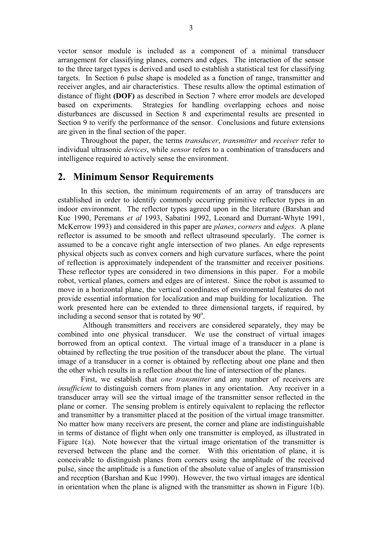vector sensor module is included as a component of a minimal transducer arrangement for classifying planes, corners and edges. The interaction of the sensor to the three target types is derived and used to establish a statistical test for classifying targets. In Section 6 pulse shape is modeled as a function of range, transmitter and receiver angles, and air characteristics. These results allow the optimal estimation of distance of flight **(DOF)** as described in Section 7 where error models are developed based on experiments. Strategies for handling overlapping echoes and noise disturbances are discussed in Section 8 and experimental results are presented in Section 9 to verify the performance of the sensor. Conclusions and future extensions are given in the final section of the paper.

Throughout the paper, the terms *transducer*, *transmitter* and *receiver* refer to individual ultrasonic *devices*, while *sensor* refers to a combination of transducers and intelligence required to actively sense the environment.

## **2. Minimum Sensor Requirements**

In this section, the minimum requirements of an array of transducers are established in order to identify commonly occurring primitive reflector types in an indoor environment. The reflector types agreed upon in the literature (Barshan and Kuc 1990, Peremans *et al* 1993, Sabatini 1992, Leonard and Durrant-Whyte 1991, McKerrow 1993) and considered in this paper are *planes*, *corners* and *edges*. A plane reflector is assumed to be smooth and reflect ultrasound specularly. The corner is assumed to be a concave right angle intersection of two planes. An edge represents physical objects such as convex corners and high curvature surfaces, where the point of reflection is approximately independent of the transmitter and receiver positions. These reflector types are considered in two dimensions in this paper. For a mobile robot, vertical planes, corners and edges are of interest. Since the robot is assumed to move in a horizontal plane, the vertical coordinates of environmental features do not provide essential information for localization and map building for localization. The work presented here can be extended to three dimensional targets, if required, by including a second sensor that is rotated by  $90^\circ$ .

 Although transmitters and receivers are considered separately, they may be combined into one physical transducer. We use the construct of virtual images borrowed from an optical context. The virtual image of a transducer in a plane is obtained by reflecting the true position of the transducer about the plane. The virtual image of a transducer in a corner is obtained by reflecting about one plane and then the other which results in a reflection about the line of intersection of the planes.

First, we establish that *one transmitter* and any number of receivers are *insufficient* to distinguish corners from planes in any orientation. Any receiver in a transducer array will see the virtual image of the transmitter sensor reflected in the plane or corner. The sensing problem is entirely equivalent to replacing the reflector and transmitter by a transmitter placed at the position of the virtual image transmitter. No matter how many receivers are present, the corner and plane are indistinguishable in terms of distance of flight when only one transmitter is employed, as illustrated in Figure 1(a). Note however that the virtual image orientation of the transmitter is reversed between the plane and the corner. With this orientation of plane, it is conceivable to distinguish planes from corners using the amplitude of the received pulse, since the amplitude is a function of the absolute value of angles of transmission and reception (Barshan and Kuc 1990). However, the two virtual images are identical in orientation when the plane is aligned with the transmitter as shown in Figure 1(b).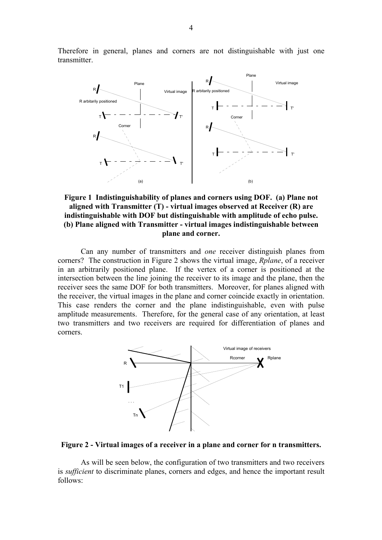Therefore in general, planes and corners are not distinguishable with just one transmitter.



**Figure 1 Indistinguishability of planes and corners using DOF. (a) Plane not aligned with Transmitter (T) - virtual images observed at Receiver (R) are indistinguishable with DOF but distinguishable with amplitude of echo pulse. (b) Plane aligned with Transmitter - virtual images indistinguishable between plane and corner.** 

Can any number of transmitters and *one* receiver distinguish planes from corners? The construction in Figure 2 shows the virtual image, *Rplane*, of a receiver in an arbitrarily positioned plane. If the vertex of a corner is positioned at the intersection between the line joining the receiver to its image and the plane, then the receiver sees the same DOF for both transmitters. Moreover, for planes aligned with the receiver, the virtual images in the plane and corner coincide exactly in orientation. This case renders the corner and the plane indistinguishable, even with pulse amplitude measurements. Therefore, for the general case of any orientation, at least two transmitters and two receivers are required for differentiation of planes and corners.



**Figure 2 - Virtual images of a receiver in a plane and corner for n transmitters.** 

As will be seen below, the configuration of two transmitters and two receivers is *sufficient* to discriminate planes, corners and edges, and hence the important result follows: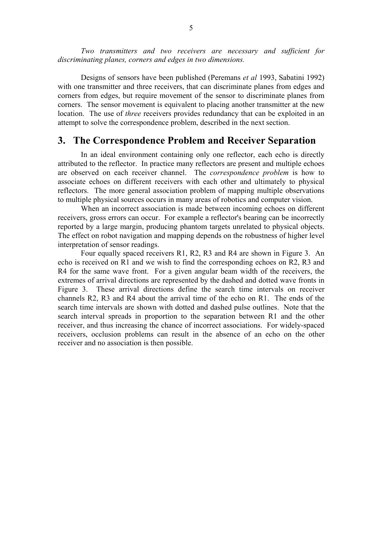*Two transmitters and two receivers are necessary and sufficient for discriminating planes, corners and edges in two dimensions.* 

Designs of sensors have been published (Peremans *et al* 1993, Sabatini 1992) with one transmitter and three receivers, that can discriminate planes from edges and corners from edges, but require movement of the sensor to discriminate planes from corners. The sensor movement is equivalent to placing another transmitter at the new location. The use of *three* receivers provides redundancy that can be exploited in an attempt to solve the correspondence problem, described in the next section.

# **3. The Correspondence Problem and Receiver Separation**

In an ideal environment containing only one reflector, each echo is directly attributed to the reflector. In practice many reflectors are present and multiple echoes are observed on each receiver channel. The *correspondence problem* is how to associate echoes on different receivers with each other and ultimately to physical reflectors. The more general association problem of mapping multiple observations to multiple physical sources occurs in many areas of robotics and computer vision.

When an incorrect association is made between incoming echoes on different receivers, gross errors can occur. For example a reflector's bearing can be incorrectly reported by a large margin, producing phantom targets unrelated to physical objects. The effect on robot navigation and mapping depends on the robustness of higher level interpretation of sensor readings.

Four equally spaced receivers R1, R2, R3 and R4 are shown in Figure 3. An echo is received on R1 and we wish to find the corresponding echoes on R2, R3 and R4 for the same wave front. For a given angular beam width of the receivers, the extremes of arrival directions are represented by the dashed and dotted wave fronts in Figure 3. These arrival directions define the search time intervals on receiver channels R2, R3 and R4 about the arrival time of the echo on R1. The ends of the search time intervals are shown with dotted and dashed pulse outlines. Note that the search interval spreads in proportion to the separation between R1 and the other receiver, and thus increasing the chance of incorrect associations. For widely-spaced receivers, occlusion problems can result in the absence of an echo on the other receiver and no association is then possible.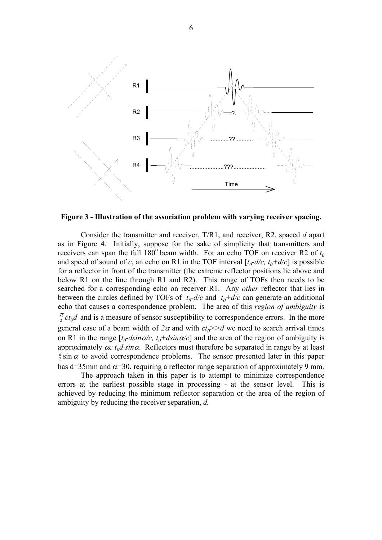

**Figure 3 - Illustration of the association problem with varying receiver spacing.** 

Consider the transmitter and receiver, T/R1, and receiver, R2, spaced *d* apart as in Figure 4. Initially, suppose for the sake of simplicity that transmitters and receivers can span the full  $180^\circ$  beam width. For an echo TOF on receiver R2 of  $t_0$ and speed of sound of *c*, an echo on R1 in the TOF interval  $[t_0-d/c, t_0+d/c]$  is possible for a reflector in front of the transmitter (the extreme reflector positions lie above and below R1 on the line through R1 and R2). This range of TOFs then needs to be searched for a corresponding echo on receiver R1. Any *other* reflector that lies in between the circles defined by TOFs of  $t_0$ -d/c and  $t_0$ +d/c can generate an additional echo that causes a correspondence problem. The area of this *region of ambiguity* is  $\frac{\pi}{2}ct_0d$  and is a measure of sensor susceptibility to correspondence errors. In the more general case of a beam width of  $2\alpha$  and with  $ct_0$  $>$ d we need to search arrival times on R1 in the range  $[t_0$ -dsin $\alpha/c$ ,  $t_0$ +dsin $\alpha/c$ ] and the area of the region of ambiguity is approximately α*c t0d sin*α. Reflectors must therefore be separated in range by at least  $\frac{d}{2}$  sin  $\alpha$  to avoid correspondence problems. The sensor presented later in this paper has d=35mm and  $\alpha$ =30, requiring a reflector range separation of approximately 9 mm.

The approach taken in this paper is to attempt to minimize correspondence errors at the earliest possible stage in processing - at the sensor level. This is achieved by reducing the minimum reflector separation or the area of the region of ambiguity by reducing the receiver separation, *d.*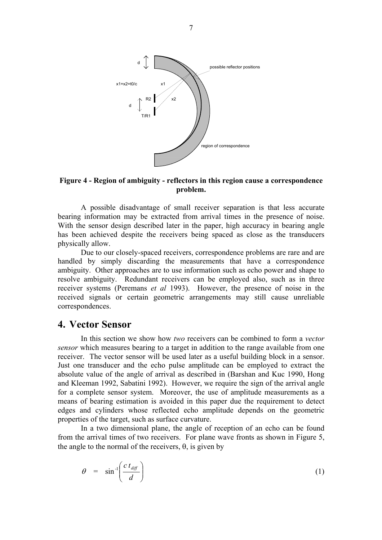

### **Figure 4 - Region of ambiguity - reflectors in this region cause a correspondence problem.**

A possible disadvantage of small receiver separation is that less accurate bearing information may be extracted from arrival times in the presence of noise. With the sensor design described later in the paper, high accuracy in bearing angle has been achieved despite the receivers being spaced as close as the transducers physically allow.

Due to our closely-spaced receivers, correspondence problems are rare and are handled by simply discarding the measurements that have a correspondence ambiguity. Other approaches are to use information such as echo power and shape to resolve ambiguity. Redundant receivers can be employed also, such as in three receiver systems (Peremans *et al* 1993). However, the presence of noise in the received signals or certain geometric arrangements may still cause unreliable correspondences.

## **4. Vector Sensor**

In this section we show how *two* receivers can be combined to form a *vector sensor* which measures bearing to a target in addition to the range available from one receiver. The vector sensor will be used later as a useful building block in a sensor. Just one transducer and the echo pulse amplitude can be employed to extract the absolute value of the angle of arrival as described in (Barshan and Kuc 1990, Hong and Kleeman 1992, Sabatini 1992). However, we require the sign of the arrival angle for a complete sensor system. Moreover, the use of amplitude measurements as a means of bearing estimation is avoided in this paper due the requirement to detect edges and cylinders whose reflected echo amplitude depends on the geometric properties of the target, such as surface curvature.

In a two dimensional plane, the angle of reception of an echo can be found from the arrival times of two receivers. For plane wave fronts as shown in Figure 5, the angle to the normal of the receivers,  $\theta$ , is given by

$$
\theta = \sin^{-1}\left(\frac{ct_{diff}}{d}\right) \tag{1}
$$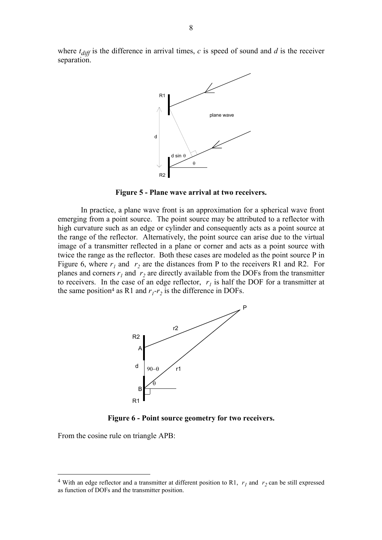where  $t_{diff}$  is the difference in arrival times,  $c$  is speed of sound and  $d$  is the receiver separation.



**Figure 5 - Plane wave arrival at two receivers.** 

In practice, a plane wave front is an approximation for a spherical wave front emerging from a point source. The point source may be attributed to a reflector with high curvature such as an edge or cylinder and consequently acts as a point source at the range of the reflector. Alternatively, the point source can arise due to the virtual image of a transmitter reflected in a plane or corner and acts as a point source with twice the range as the reflector. Both these cases are modeled as the point source P in Figure 6, where  $r_1$  and  $r_2$  are the distances from P to the receivers R1 and R2. For planes and corners  $r_1$  and  $r_2$  are directly available from the DOFs from the transmitter to receivers. In the case of an edge reflector,  $r<sub>1</sub>$  is half the DOF for a transmitter at the same position<sup>4</sup> as R1 and  $r_1-r_2$  is the difference in DOFs.



**Figure 6 - Point source geometry for two receivers.**

From the cosine rule on triangle APB:

 $\overline{a}$ 

<span id="page-7-0"></span><sup>&</sup>lt;sup>4</sup> With an edge reflector and a transmitter at different position to R1,  $r_1$  and  $r_2$  can be still expressed as function of DOFs and the transmitter position.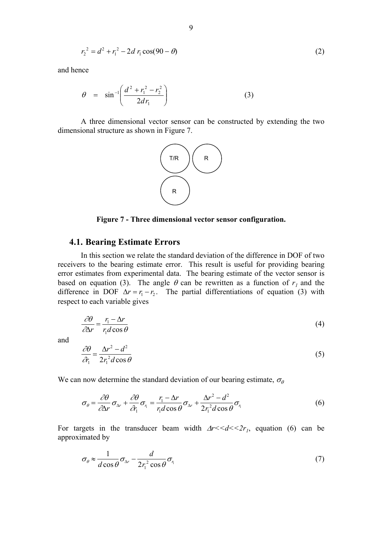$$
r_2^2 = d^2 + r_1^2 - 2d r_1 \cos(90 - \theta)
$$
 (2)

and hence

$$
\theta = \sin^{-1}\left(\frac{d^2 + r_1^2 - r_2^2}{2dr_1}\right) \tag{3}
$$

A three dimensional vector sensor can be constructed by extending the two dimensional structure as shown in Figure 7.



**Figure 7 - Three dimensional vector sensor configuration.** 

### **4.1. Bearing Estimate Errors**

In this section we relate the standard deviation of the difference in DOF of two receivers to the bearing estimate error. This result is useful for providing bearing error estimates from experimental data. The bearing estimate of the vector sensor is based on equation (3). The angle  $\theta$  can be rewritten as a function of  $r_1$  and the difference in DOF  $\Delta r = r_1 - r_2$ . The partial differentiations of equation (3) with respect to each variable gives

$$
\frac{\partial \theta}{\partial \Delta r} = \frac{r_1 - \Delta r}{r_1 d \cos \theta} \tag{4}
$$

and

$$
\frac{\partial \theta}{\partial r_1} = \frac{\Delta r^2 - d^2}{2r_1^2 d \cos \theta} \tag{5}
$$

We can now determine the standard deviation of our bearing estimate,  $\sigma_{\theta}$ 

$$
\sigma_{\theta} = \frac{\partial \theta}{\partial \Delta r} \sigma_{\Delta r} + \frac{\partial \theta}{\partial r_1} \sigma_{r_1} = \frac{r_1 - \Delta r}{r_1 d \cos \theta} \sigma_{\Delta r} + \frac{\Delta r^2 - d^2}{2r_1^2 d \cos \theta} \sigma_{r_1}
$$
(6)

For targets in the transducer beam width  $\Delta r \ll d \ll 2r_1$ , equation (6) can be approximated by

$$
\sigma_{\theta} \approx \frac{1}{d\cos\theta} \sigma_{\Delta r} - \frac{d}{2r_i^2 \cos\theta} \sigma_{r_i}
$$
\n(7)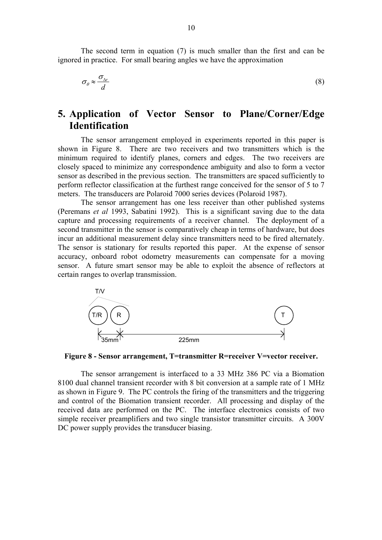The second term in equation (7) is much smaller than the first and can be ignored in practice. For small bearing angles we have the approximation

$$
\sigma_{\theta} \approx \frac{\sigma_{\Delta r}}{d} \tag{8}
$$

# **5. Application of Vector Sensor to Plane/Corner/Edge Identification**

The sensor arrangement employed in experiments reported in this paper is shown in Figure 8. There are two receivers and two transmitters which is the minimum required to identify planes, corners and edges. The two receivers are closely spaced to minimize any correspondence ambiguity and also to form a vector sensor as described in the previous section. The transmitters are spaced sufficiently to perform reflector classification at the furthest range conceived for the sensor of 5 to 7 meters. The transducers are Polaroid 7000 series devices (Polaroid 1987).

The sensor arrangement has one less receiver than other published systems (Peremans *et al* 1993, Sabatini 1992). This is a significant saving due to the data capture and processing requirements of a receiver channel. The deployment of a second transmitter in the sensor is comparatively cheap in terms of hardware, but does incur an additional measurement delay since transmitters need to be fired alternately. The sensor is stationary for results reported this paper. At the expense of sensor accuracy, onboard robot odometry measurements can compensate for a moving sensor. A future smart sensor may be able to exploit the absence of reflectors at certain ranges to overlap transmission.



**Figure 8 - Sensor arrangement, T=transmitter R=receiver V=vector receiver.** 

The sensor arrangement is interfaced to a 33 MHz 386 PC via a Biomation 8100 dual channel transient recorder with 8 bit conversion at a sample rate of 1 MHz as shown in Figure 9. The PC controls the firing of the transmitters and the triggering and control of the Biomation transient recorder. All processing and display of the received data are performed on the PC. The interface electronics consists of two simple receiver preamplifiers and two single transistor transmitter circuits. A 300V DC power supply provides the transducer biasing.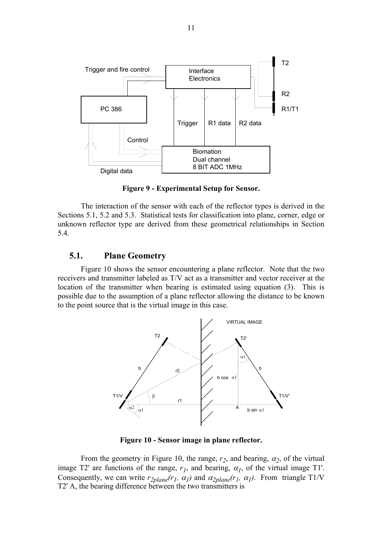

**Figure 9 - Experimental Setup for Sensor.** 

The interaction of the sensor with each of the reflector types is derived in the Sections 5.1, 5.2 and 5.3. Statistical tests for classification into plane, corner, edge or unknown reflector type are derived from these geometrical relationships in Section 5.4.

## **5.1. Plane Geometry**

Figure 10 shows the sensor encountering a plane reflector. Note that the two receivers and transmitter labeled as T/V act as a transmitter and vector receiver at the location of the transmitter when bearing is estimated using equation (3). This is possible due to the assumption of a plane reflector allowing the distance to be known to the point source that is the virtual image in this case.



**Figure 10 - Sensor image in plane reflector.** 

From the geometry in Figure 10, the range,  $r_2$ , and bearing,  $\alpha_2$ , of the virtual image T2' are functions of the range,  $r_1$ , and bearing,  $\alpha_1$ , of the virtual image T1'. Consequently, we can write  $r_{2plane}(r_1, \alpha_1)$  and  $\alpha_{2plane}(r_1, \alpha_1)$ . From triangle T1/V T2' A, the bearing difference between the two transmitters is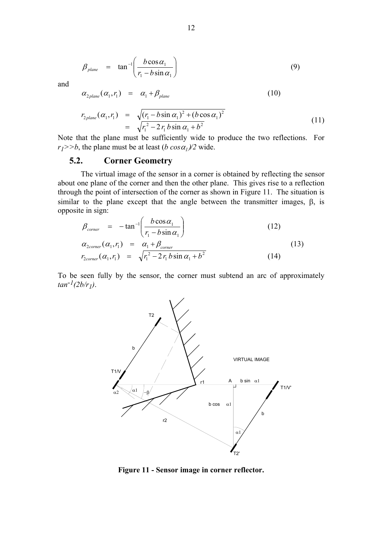$$
\beta_{plane} = \tan^{-1} \left( \frac{b \cos \alpha_1}{r_1 - b \sin \alpha_1} \right) \tag{9}
$$

and

$$
\alpha_{2\text{plane}}(\alpha_1, r_1) = \alpha_1 + \beta_{\text{plane}} \tag{10}
$$

$$
r_{2plane}(\alpha_1, r_1) = \sqrt{(r_1 - b\sin \alpha_1)^2 + (b\cos \alpha_1)^2}
$$
  
=  $\sqrt{r_1^2 - 2r_1 b\sin \alpha_1 + b^2}$  (11)

Note that the plane must be sufficiently wide to produce the two reflections. For  $r_1$ >>b, the plane must be at least (*b*  $cos \alpha_1$ )/2 wide.

## **5.2. Corner Geometry**

The virtual image of the sensor in a corner is obtained by reflecting the sensor about one plane of the corner and then the other plane. This gives rise to a reflection through the point of intersection of the corner as shown in Figure 11. The situation is similar to the plane except that the angle between the transmitter images,  $\beta$ , is opposite in sign:

$$
\beta_{corner} = -\tan^{-1}\left(\frac{b\cos\alpha_1}{r_1 - b\sin\alpha_1}\right)
$$
(12)  
\n
$$
\alpha_{2corner}(\alpha_1, r_1) = \alpha_1 + \beta_{corner}
$$
(13)

$$
r_{2corner}(\alpha_1, r_1) = \sqrt{r_1^2 - 2r_1 b \sin \alpha_1 + b^2}
$$
 (14)

To be seen fully by the sensor, the corner must subtend an arc of approximately  $tan^{-1}(2b/r_1)$ .



**Figure 11 - Sensor image in corner reflector.**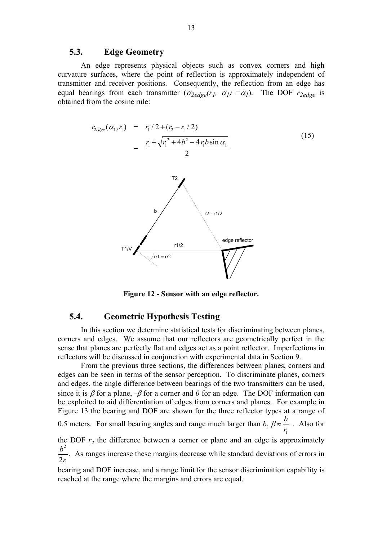#### **5.3. Edge Geometry**

An edge represents physical objects such as convex corners and high curvature surfaces, where the point of reflection is approximately independent of transmitter and receiver positions. Consequently, the reflection from an edge has equal bearings from each transmitter  $(\alpha_{2edge}(r_1, \alpha_1) = \alpha_1)$ . The DOF  $r_{2edge}$  is obtained from the cosine rule:

= + − *r r r r r* ( , ) / ( / ) 2 2 α 2*edge* 1 1 1 2 1 <sup>=</sup> + + <sup>−</sup> (15) 2 2 *r r b r b* 4 4 sin α 1 1 1 1 2 T2 b r2 - r1/2 edge reflector r1/2 T1/V α1 = α2 

**Figure 12 - Sensor with an edge reflector.** 

## **5.4. Geometric Hypothesis Testing**

In this section we determine statistical tests for discriminating between planes, corners and edges. We assume that our reflectors are geometrically perfect in the sense that planes are perfectly flat and edges act as a point reflector. Imperfections in reflectors will be discussed in conjunction with experimental data in Section 9.

From the previous three sections, the differences between planes, corners and edges can be seen in terms of the sensor perception. To discriminate planes, corners and edges, the angle difference between bearings of the two transmitters can be used, since it is  $\beta$  for a plane, *-* $\beta$  for a corner and  $\theta$  for an edge. The DOF information can be exploited to aid differentiation of edges from corners and planes. For example in Figure 13 the bearing and DOF are shown for the three reflector types at a range of 0.5 meters. For small bearing angles and range much larger than *b*,  $\beta \approx \frac{b}{\beta}$ *r* 1 . Also for the DOF  $r_2$  the difference between a corner or plane and an edge is approximately *b r* 2  $2r_1$ . As ranges increase these margins decrease while standard deviations of errors in

bearing and DOF increase, and a range limit for the sensor discrimination capability is reached at the range where the margins and errors are equal.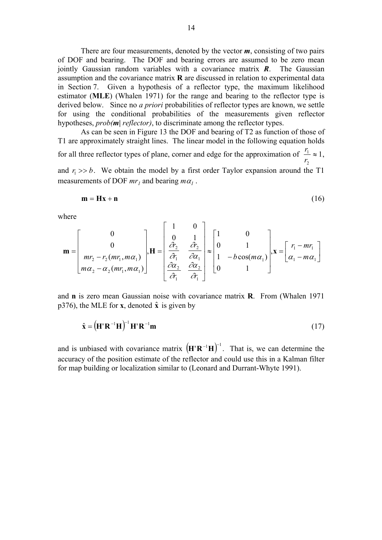There are four measurements, denoted by the vector *m*, consisting of two pairs of DOF and bearing. The DOF and bearing errors are assumed to be zero mean jointly Gaussian random variables with a covariance matrix *R*. The Gaussian assumption and the covariance matrix **R** are discussed in relation to experimental data in Section 7. Given a hypothesis of a reflector type, the maximum likelihood estimator (**MLE**) (Whalen 1971) for the range and bearing to the reflector type is derived below. Since no *a priori* probabilities of reflector types are known, we settle for using the conditional probabilities of the measurements given reflector hypotheses, *prob(m***|** *reflector)*, to discriminate among the reflector types.

As can be seen in Figure 13 the DOF and bearing of T2 as function of those of T1 are approximately straight lines. The linear model in the following equation holds for all three reflector types of plane, corner and edge for the approximation of  $\frac{r}{r}$ *r*  $\frac{1}{2} \approx 1$ , 2 and  $r_1 \gg b$ . We obtain the model by a first order Taylor expansion around the T1 measurements of DOF  $mr_1$  and bearing  $m\alpha_1$ .

$$
\mathbf{m} = \mathbf{H}\mathbf{x} + \mathbf{n} \tag{16}
$$

where

$$
\mathbf{m} = \begin{bmatrix} 0 \\ 0 \\ mr_2 - r_2(mr_1, m\alpha_1) \\ m\alpha_2 - \alpha_2(mr_1, m\alpha_1) \end{bmatrix}, \mathbf{H} = \begin{bmatrix} 1 & 0 \\ 0 & 1 \\ \frac{\partial r_2}{\partial r_1} & \frac{\partial r_2}{\partial \alpha_1} \\ \frac{\partial \alpha_2}{\partial r_1} & \frac{\partial \alpha_2}{\partial r_1} \end{bmatrix} \approx \begin{bmatrix} 1 & 0 \\ 0 & 1 \\ 1 & -b\cos(m\alpha_1) \\ 0 & 1 \end{bmatrix}, \mathbf{x} = \begin{bmatrix} r_1 - mr_1 \\ \alpha_1 - m\alpha_1 \end{bmatrix}
$$

p376), the MLE for **x**, denoted  $\hat{\mathbf{x}}$  is given by and **n** is zero mean Gaussian noise with covariance matrix **R**. From (Whalen 1971

$$
\hat{\mathbf{x}} = (\mathbf{H}^\dagger \mathbf{R}^{-1} \mathbf{H})^{-1} \mathbf{H}^\dagger \mathbf{R}^{-1} \mathbf{m} \tag{17}
$$

and is unbiased with covariance matrix  $(H'R^{-1}H)^{-1}$ . That is, we can determine the accuracy of the position estimate of the reflector and could use this in a Kalman filter for map building or localization similar to (Leonard and Durrant-Whyte 1991).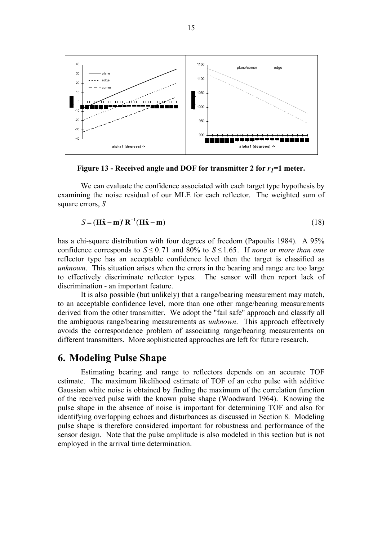

**Figure 13 - Received angle and DOF for transmitter 2 for**  $r_1 = 1$  **meter.** 

We can evaluate the confidence associated with each target type hypothesis by examining the noise residual of our MLE for each reflector. The weighted sum of square errors, *S* 

$$
S = (\mathbf{H}\hat{\mathbf{x}} - \mathbf{m})' \mathbf{R}^{-1} (\mathbf{H}\hat{\mathbf{x}} - \mathbf{m})
$$
\n(18)

has a chi-square distribution with four degrees of freedom (Papoulis 1984). A 95% confidence corresponds to  $S \le 0.71$  and 80% to  $S \le 1.65$ . If *none* or *more than one* reflector type has an acceptable confidence level then the target is classified as *unknown*. This situation arises when the errors in the bearing and range are too large to effectively discriminate reflector types. The sensor will then report lack of discrimination - an important feature.

It is also possible (but unlikely) that a range/bearing measurement may match, to an acceptable confidence level, more than one other range/bearing measurements derived from the other transmitter. We adopt the "fail safe" approach and classify all the ambiguous range/bearing measurements as *unknown*. This approach effectively avoids the correspondence problem of associating range/bearing measurements on different transmitters. More sophisticated approaches are left for future research.

# **6. Modeling Pulse Shape**

Estimating bearing and range to reflectors depends on an accurate TOF estimate. The maximum likelihood estimate of TOF of an echo pulse with additive Gaussian white noise is obtained by finding the maximum of the correlation function of the received pulse with the known pulse shape (Woodward 1964). Knowing the pulse shape in the absence of noise is important for determining TOF and also for identifying overlapping echoes and disturbances as discussed in Section 8. Modeling pulse shape is therefore considered important for robustness and performance of the sensor design. Note that the pulse amplitude is also modeled in this section but is not employed in the arrival time determination.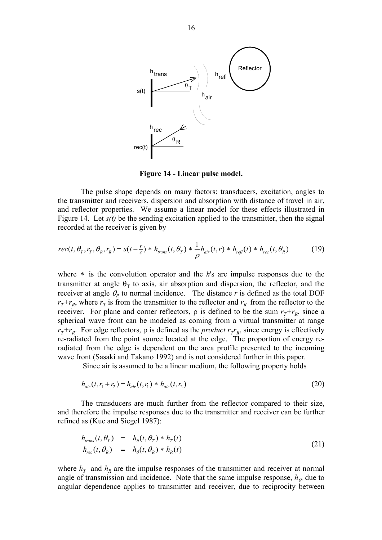

**Figure 14 - Linear pulse model.** 

The pulse shape depends on many factors: transducers, excitation, angles to the transmitter and receivers, dispersion and absorption with distance of travel in air, and reflector properties. We assume a linear model for these effects illustrated in Figure 14. Let *s(t)* be the sending excitation applied to the transmitter, then the signal recorded at the receiver is given by

$$
rec(t, \theta_T, r_T, \theta_R, r_R) = s(t - \frac{r}{c}) * h_{trans}(t, \theta_T) * \frac{1}{\rho} h_{air}(t, r) * h_{refl}(t) * h_{rec}(t, \theta_R)
$$
(19)

where \* is the convolution operator and the *h*'s are impulse responses due to the transmitter at angle  $\theta_T$  to axis, air absorption and dispersion, the reflector, and the receiver at angle  $\theta_R$  to normal incidence. The distance *r* is defined as the total DOF  $r_T + r_R$ , where  $r_T$  is from the transmitter to the reflector and  $r_R$  from the reflector to the receiver. For plane and corner reflectors,  $\rho$  is defined to be the sum  $r_T + r_R$ , since a spherical wave front can be modeled as coming from a virtual transmitter at range  $r_T + r_R$ . For edge reflectors,  $\rho$  is defined as the *product*  $r_T r_R$ , since energy is effectively re-radiated from the point source located at the edge. The proportion of energy reradiated from the edge is dependent on the area profile presented to the incoming wave front (Sasaki and Takano 1992) and is not considered further in this paper.

Since air is assumed to be a linear medium, the following property holds

$$
h_{air}(t, r_1 + r_2) = h_{air}(t, r_1) * h_{air}(t, r_2)
$$
\n(20)

The transducers are much further from the reflector compared to their size, and therefore the impulse responses due to the transmitter and receiver can be further refined as (Kuc and Siegel 1987):

$$
h_{trans}(t, \theta_T) = h_{\theta}(t, \theta_T) * h_T(t)
$$
  
\n
$$
h_{rec}(t, \theta_R) = h_{\theta}(t, \theta_R) * h_R(t)
$$
\n(21)

where  $h_T$  and  $h_R$  are the impulse responses of the transmitter and receiver at normal angle of transmission and incidence. Note that the same impulse response,  $h_{\theta}$  due to angular dependence applies to transmitter and receiver, due to reciprocity between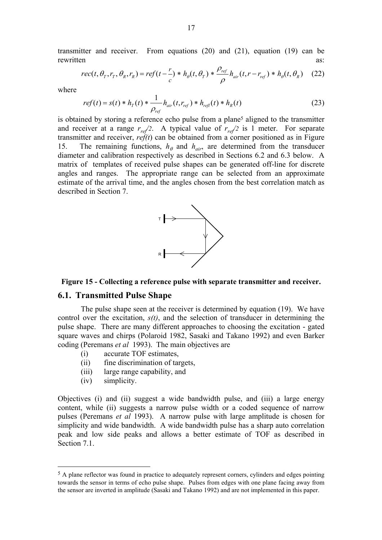transmitter and receiver. From equations (20) and (21), equation (19) can be rewritten as: as:

$$
rec(t, \theta_T, r_T, \theta_R, r_R) = ref(t - \frac{r}{c}) * h_{\theta}(t, \theta_T) * \frac{\rho_{ref}}{\rho} h_{air}(t, r - r_{ref}) * h_{\theta}(t, \theta_R)
$$
 (22)

where

$$
ref(t) = s(t) * hT(t) * \frac{1}{\rho_{ref}} h_{air}(t, r_{ref}) * h_{refl}(t) * hR(t)
$$
\n(23)

is obtained by storing a reference echo pulse from a plane<sup>5</sup> aligned to the transmitter and receiver at a range  $r_{ref}/2$ . A typical value of  $r_{ref}/2$  is 1 meter. For separate transmitter and receiver, *ref(t*) can be obtained from a corner positioned as in Figure 15. The remaining functions,  $h_{\theta}$  and  $h_{air}$ , are determined from the transducer diameter and calibration respectively as described in Sections 6.2 and 6.3 below. A matrix of templates of received pulse shapes can be generated off-line for discrete angles and ranges. The appropriate range can be selected from an approximate estimate of the arrival time, and the angles chosen from the best correlation match as described in Section 7.



#### **Figure 15 - Collecting a reference pulse with separate transmitter and receiver.**

#### **6.1. Transmitted Pulse Shape**

The pulse shape seen at the receiver is determined by equation (19). We have control over the excitation, *s(t)*, and the selection of transducer in determining the pulse shape. There are many different approaches to choosing the excitation - gated square waves and chirps (Polaroid 1982, Sasaki and Takano 1992) and even Barker coding (Peremans *et al* 1993). The main objectives are

- (i) accurate TOF estimates,
- (ii) fine discrimination of targets,
- (iii) large range capability, and
- (iv) simplicity.

Objectives (i) and (ii) suggest a wide bandwidth pulse, and (iii) a large energy content, while (ii) suggests a narrow pulse width or a coded sequence of narrow pulses (Peremans *et al* 1993). A narrow pulse with large amplitude is chosen for simplicity and wide bandwidth. A wide bandwidth pulse has a sharp auto correlation peak and low side peaks and allows a better estimate of TOF as described in Section 7.1.

<span id="page-16-0"></span> <sup>5</sup> A plane reflector was found in practice to adequately represent corners, cylinders and edges pointing towards the sensor in terms of echo pulse shape. Pulses from edges with one plane facing away from the sensor are inverted in amplitude (Sasaki and Takano 1992) and are not implemented in this paper.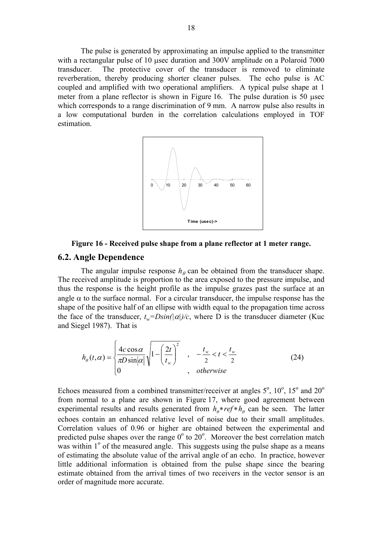The pulse is generated by approximating an impulse applied to the transmitter with a rectangular pulse of 10 usec duration and 300V amplitude on a Polaroid 7000 transducer. The protective cover of the transducer is removed to eliminate reverberation, thereby producing shorter cleaner pulses. The echo pulse is AC coupled and amplified with two operational amplifiers. A typical pulse shape at 1 meter from a plane reflector is shown in Figure 16. The pulse duration is 50 µsec which corresponds to a range discrimination of 9 mm. A narrow pulse also results in a low computational burden in the correlation calculations employed in TOF estimation.



#### **Figure 16 - Received pulse shape from a plane reflector at 1 meter range.**

#### **6.2. Angle Dependence**

The angular impulse response  $h_{\theta}$  can be obtained from the transducer shape. The received amplitude is proportion to the area exposed to the pressure impulse, and thus the response is the height profile as the impulse grazes past the surface at an angle  $\alpha$  to the surface normal. For a circular transducer, the impulse response has the shape of the positive half of an ellipse with width equal to the propagation time across the face of the transducer,  $t_w = D\sin(\alpha)/c$ , where D is the transducer diameter (Kuc and Siegel 1987). That is

$$
h_{\theta}(t,\alpha) = \begin{cases} \frac{4c\cos\alpha}{\pi D\sin|\alpha|} \sqrt{1 - \left(\frac{2t}{t_w}\right)^2} & , -\frac{t_w}{2} < t < \frac{t_w}{2} \\ 0 & , \text{ otherwise} \end{cases}
$$
 (24)

experimental results and results generated from  $h_{\theta} * ref * h_{\theta}$  can be seen. The latter Echoes measured from a combined transmitter/receiver at angles  $5^\circ$ ,  $10^\circ$ ,  $15^\circ$  and  $20^\circ$ from normal to a plane are shown in Figure 17, where good agreement between echoes contain an enhanced relative level of noise due to their small amplitudes. Correlation values of 0.96 or higher are obtained between the experimental and predicted pulse shapes over the range  $0^{\circ}$  to  $20^{\circ}$ . Moreover the best correlation match was within  $1^\circ$  of the measured angle. This suggests using the pulse shape as a means of estimating the absolute value of the arrival angle of an echo. In practice, however little additional information is obtained from the pulse shape since the bearing estimate obtained from the arrival times of two receivers in the vector sensor is an order of magnitude more accurate.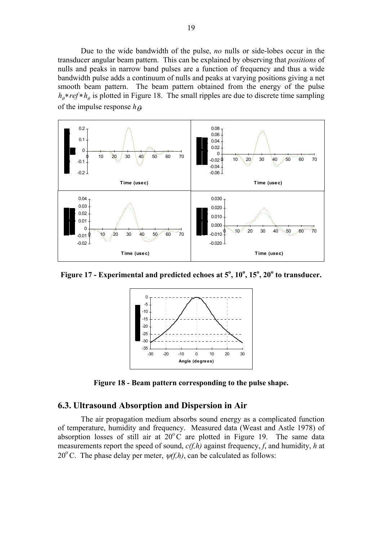Due to the wide bandwidth of the pulse, *no* nulls or side-lobes occur in the transducer angular beam pattern. This can be explained by observing that *positions* of nulls and peaks in narrow band pulses are a function of frequency and thus a wide bandwidth pulse adds a continuum of nulls and peaks at varying positions giving a net smooth beam pattern. The beam pattern obtained from the energy of the pulse  $h_{\theta} * ref * h_{\theta}$  is plotted in Figure 18. The small ripples are due to discrete time sampling of the impulse response  $h\theta$ .



Figure 17 - Experimental and predicted echoes at  $5^{\circ}$ ,  $10^{\circ}$ ,  $15^{\circ}$ ,  $20^{\circ}$  to transducer.



**Figure 18 - Beam pattern corresponding to the pulse shape.** 

### **6.3. Ultrasound Absorption and Dispersion in Air**

The air propagation medium absorbs sound energy as a complicated function of temperature, humidity and frequency. Measured data (Weast and Astle 1978) of absorption losses of still air at  $20^{\circ}$ C are plotted in Figure 19. The same data measurements report the speed of sound, *c(f,h)* against frequency, *f*, and humidity, *h* at 20<sup>o</sup> C. The phase delay per meter,  $\psi(f,h)$ , can be calculated as follows: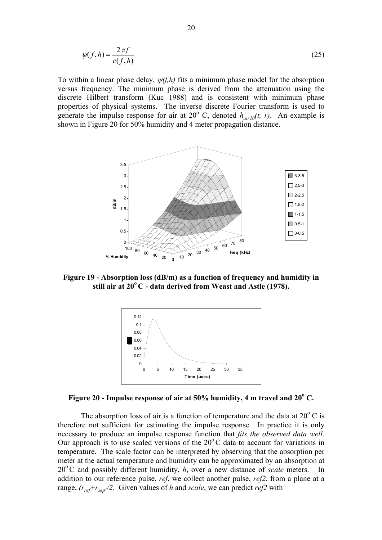$$
\psi(f,h) = \frac{2\pi f}{c(f,h)}\tag{25}
$$

To within a linear phase delay, ψ*(f,h)* fits a minimum phase model for the absorption versus frequency. The minimum phase is derived from the attenuation using the discrete Hilbert transform (Kuc 1988) and is consistent with minimum phase properties of physical systems. The inverse discrete Fourier transform is used to generate the impulse response for air at 20<sup>°</sup> C, denoted  $h_{air20}(t, r)$ . An example is shown in Figure 20 for 50% humidity and 4 meter propagation distance.



**Figure 19 - Absorption loss (dB/m) as a function of frequency and humidity in still air at 20o C - data derived from Weast and Astle (1978).** 



Figure 20 - Impulse response of air at 50% humidity, 4 m travel and 20<sup>°</sup> C.

The absorption loss of air is a function of temperature and the data at  $20^{\circ}$  C is therefore not sufficient for estimating the impulse response. In practice it is only necessary to produce an impulse response function that *fits the observed data well*. Our approach is to use scaled versions of the  $20^{\circ}$ C data to account for variations in temperature. The scale factor can be interpreted by observing that the absorption per meter at the actual temperature and humidity can be approximated by an absorption at  $20^{\circ}$ C and possibly different humidity, *h*, over a new distance of *scale* meters. addition to our reference pulse, *ref*, we collect another pulse, *ref2*, from a plane at a range,  $(r_{ref}+r_{spr})/2$ . Given values of *h* and *scale*, we can predict *ref2* with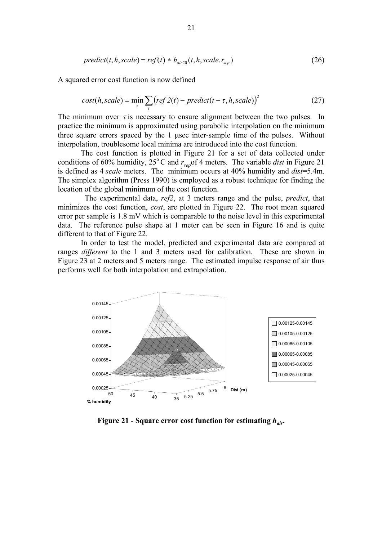$$
predict(t, h, scale) = ref(t) * h_{air20}(t, h, scale.r_{sep})
$$
\n(26)

A squared error cost function is now defined

$$
cost(h, scale) = \min_{\tau} \sum_{t} (ref\ 2(t) - predict(t - \tau, h, scale))^2
$$
 (27)

The minimum over  $\tau$  is necessary to ensure alignment between the two pulses. In practice the minimum is approximated using parabolic interpolation on the minimum three square errors spaced by the 1 µsec inter-sample time of the pulses. Without interpolation, troublesome local minima are introduced into the cost function.

The cost function is plotted in Figure 21 for a set of data collected under conditions of 60% humidity,  $25^{\circ}$ C and  $r_{\text{sep}}$  of 4 meters. The variable *dist* in Figure 21 is defined as 4 *scale* meters. The minimum occurs at 40% humidity and *dist*=5.4m. The simplex algorithm (Press 1990) is employed as a robust technique for finding the location of the global minimum of the cost function.

 The experimental data, *ref2*, at 3 meters range and the pulse, *predict*, that minimizes the cost function, *cost*, are plotted in Figure 22. The root mean squared error per sample is 1.8 mV which is comparable to the noise level in this experimental data. The reference pulse shape at 1 meter can be seen in Figure 16 and is quite different to that of Figure 22.

In order to test the model, predicted and experimental data are compared at ranges *different* to the 1 and 3 meters used for calibration. These are shown in Figure 23 at 2 meters and 5 meters range. The estimated impulse response of air thus performs well for both interpolation and extrapolation.



**Figure 21 - Square error cost function for estimating**  $h_{air}$ **.**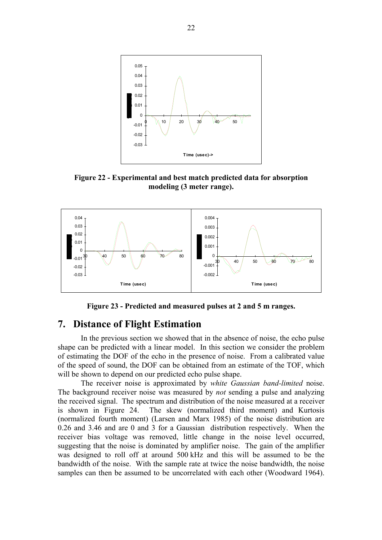

**Figure 22 - Experimental and best match predicted data for absorption modeling (3 meter range).** 



**Figure 23 - Predicted and measured pulses at 2 and 5 m ranges.** 

# **7. Distance of Flight Estimation**

In the previous section we showed that in the absence of noise, the echo pulse shape can be predicted with a linear model. In this section we consider the problem of estimating the DOF of the echo in the presence of noise. From a calibrated value of the speed of sound, the DOF can be obtained from an estimate of the TOF, which will be shown to depend on our predicted echo pulse shape.

The receiver noise is approximated by *white Gaussian band-limited* noise. The background receiver noise was measured by *not* sending a pulse and analyzing the received signal. The spectrum and distribution of the noise measured at a receiver is shown in Figure 24. The skew (normalized third moment) and Kurtosis (normalized fourth moment) (Larsen and Marx 1985) of the noise distribution are 0.26 and 3.46 and are 0 and 3 for a Gaussian distribution respectively. When the receiver bias voltage was removed, little change in the noise level occurred, suggesting that the noise is dominated by amplifier noise. The gain of the amplifier was designed to roll off at around 500 kHz and this will be assumed to be the bandwidth of the noise. With the sample rate at twice the noise bandwidth, the noise samples can then be assumed to be uncorrelated with each other (Woodward 1964).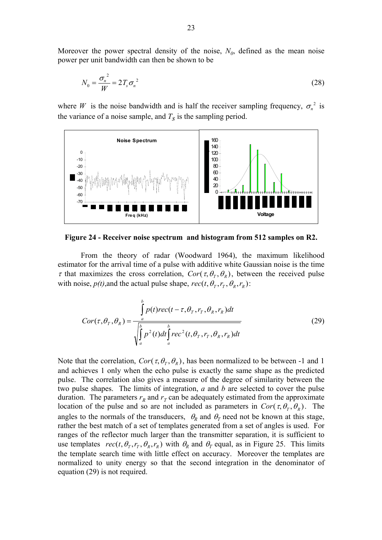Moreover the power spectral density of the noise,  $N_0$ , defined as the mean noise power per unit bandwidth can then be shown to be

$$
N_0 = \frac{\sigma_n^2}{W} = 2T_s \sigma_n^2 \tag{28}
$$

where *W* is the noise bandwidth and is half the receiver sampling frequency,  $\sigma_n^2$  is the variance of a noise sample, and  $T<sub>S</sub>$  is the sampling period.



**Figure 24 - Receiver noise spectrum and histogram from 512 samples on R2.** 

From the theory of radar (Woodward 1964), the maximum likelihood estimator for the arrival time of a pulse with additive white Gaussian noise is the time  $\tau$  that maximizes the cross correlation,  $Cor(\tau, \theta_T, \theta_R)$ , between the received pulse with noise,  $p(t)$ , and the actual pulse shape,  $rec(t, \theta_T, r_T, \theta_R, r_R)$ :

$$
Cor(\tau, \theta_T, \theta_R) = \frac{\int_a^b p(t)rec(t - \tau, \theta_T, r_T, \theta_R, r_R)dt}{\sqrt{\int_a^b p^2(t)dt \int_a^b rec^2(t, \theta_T, r_T, \theta_R, r_R)dt}}
$$
(29)

Note that the correlation,  $Cor(\tau, \theta_{\tau}, \theta_{\nu})$ , has been normalized to be between -1 and 1 and achieves 1 only when the echo pulse is exactly the same shape as the predicted pulse. The correlation also gives a measure of the degree of similarity between the two pulse shapes. The limits of integration, *a* and *b* are selected to cover the pulse duration. The parameters  $r_R$  and  $r_T$  can be adequately estimated from the approximate location of the pulse and so are not included as parameters in  $Cor(\tau, \theta_{\tau}, \theta_{\tau})$ . The angles to the normals of the transducers,  $\theta_R$  and  $\theta_T$  need not be known at this stage, rather the best match of a set of templates generated from a set of angles is used. For ranges of the reflector much larger than the transmitter separation, it is sufficient to use templates  $rec(t, \theta_T, r_T, \theta_R, r_R)$  with  $\theta_R$  and  $\theta_T$  equal, as in Figure 25. This limits the template search time with little effect on accuracy. Moreover the templates are normalized to unity energy so that the second integration in the denominator of equation (29) is not required.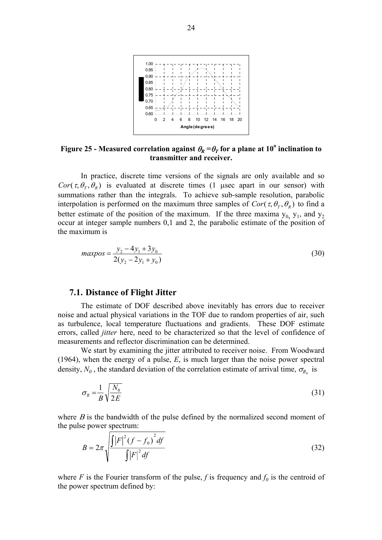

**Figure 25 - Measured correlation against**  $\theta_R = \theta_T$  **for a plane at**  $10^{\circ}$  **inclination to transmitter and receiver.**

In practice, discrete time versions of the signals are only available and so *Cor*  $(\tau, \theta_T, \theta_R)$  is evaluated at discrete times (1 µsec apart in our sensor) with summations rather than the integrals. To achieve sub-sample resolution, parabolic interpolation is performed on the maximum three samples of  $Cor(\tau, \theta_{\tau}, \theta_{\tau})$  to find a better estimate of the position of the maximum. If the three maxima  $y_0$ ,  $y_1$ , and  $y_2$ occur at integer sample numbers 0,1 and 2, the parabolic estimate of the position of the maximum is

$$
maxpos = \frac{y_2 - 4y_1 + 3y_0}{2(y_2 - 2y_1 + y_0)}
$$
\n(30)

## **7.1. Distance of Flight Jitter**

The estimate of DOF described above inevitably has errors due to receiver noise and actual physical variations in the TOF due to random properties of air, such as turbulence, local temperature fluctuations and gradients. These DOF estimate errors, called *jitter* here, need to be characterized so that the level of confidence of measurements and reflector discrimination can be determined.

We start by examining the jitter attributed to receiver noise. From Woodward (1964), when the energy of a pulse, *E*, is much larger than the noise power spectral density,  $N_0$ , the standard deviation of the correlation estimate of arrival time,  $\sigma_{R_2}$  is

$$
\sigma_R = \frac{1}{B} \sqrt{\frac{N_0}{2E}} \tag{31}
$$

where  $B$  is the bandwidth of the pulse defined by the normalized second moment of the pulse power spectrum:

$$
B = 2\pi \sqrt{\frac{\int |F|^2 (f - f_0)^2 df}{\int |F|^2 df}}
$$
(32)

where *F* is the Fourier transform of the pulse, *f* is frequency and  $f_0$  is the centroid of the power spectrum defined by: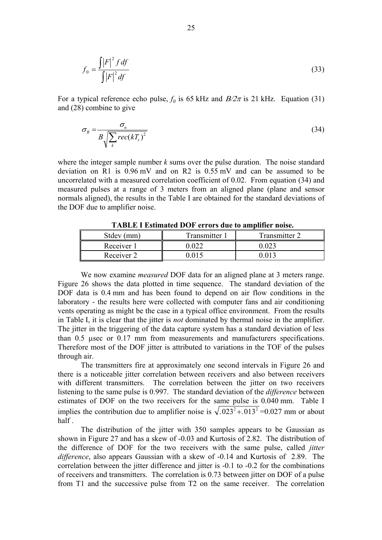$$
f_0 = \frac{\int |F|^2 f df}{\int |F|^2 df}
$$
\n(33)

For a typical reference echo pulse,  $f_0$  is 65 kHz and  $B/2\pi$  is 21 kHz. Equation (31) and (28) combine to give

$$
\sigma_R = \frac{\sigma_n}{B \sqrt{\sum_k rec(kT_s)^2}}
$$
\n(34)

where the integer sample number *k* sums over the pulse duration. The noise standard deviation on R1 is 0.96 mV and on R2 is 0.55 mV and can be assumed to be uncorrelated with a measured correlation coefficient of 0.02. From equation (34) and measured pulses at a range of 3 meters from an aligned plane (plane and sensor normals aligned), the results in the Table I are obtained for the standard deviations of the DOF due to amplifier noise.

| Stdev (mm) | Transmitter | Transmitter 2 |
|------------|-------------|---------------|
| Receiver 1 |             | ገ በን፤         |
| Receiver 2 | ) በ14       | በ በ13         |

**TABLE I Estimated DOF errors due to amplifier noise.** 

We now examine *measured* DOF data for an aligned plane at 3 meters range. Figure 26 shows the data plotted in time sequence. The standard deviation of the DOF data is 0.4 mm and has been found to depend on air flow conditions in the laboratory - the results here were collected with computer fans and air conditioning vents operating as might be the case in a typical office environment. From the results in Table I, it is clear that the jitter is *not* dominated by thermal noise in the amplifier. The jitter in the triggering of the data capture system has a standard deviation of less than 0.5 µsec or 0.17 mm from measurements and manufacturers specifications. Therefore most of the DOF jitter is attributed to variations in the TOF of the pulses through air.

The transmitters fire at approximately one second intervals in Figure 26 and there is a noticeable jitter correlation between receivers and also between receivers with different transmitters. The correlation between the jitter on two receivers listening to the same pulse is 0.997. The standard deviation of the *difference* between estimates of DOF on the two receivers for the same pulse is 0.040 mm. Table I implies the contribution due to amplifier noise is  $\sqrt{.023^2 + .013^2} = 0.027$  mm or about half .

The distribution of the jitter with 350 samples appears to be Gaussian as shown in Figure 27 and has a skew of -0.03 and Kurtosis of 2.82. The distribution of the difference of DOF for the two receivers with the same pulse, called *jitter difference*, also appears Gaussian with a skew of -0.14 and Kurtosis of 2.89. The correlation between the jitter difference and jitter is -0.1 to -0.2 for the combinations of receivers and transmitters. The correlation is 0.73 between jitter on DOF of a pulse from T1 and the successive pulse from T2 on the same receiver. The correlation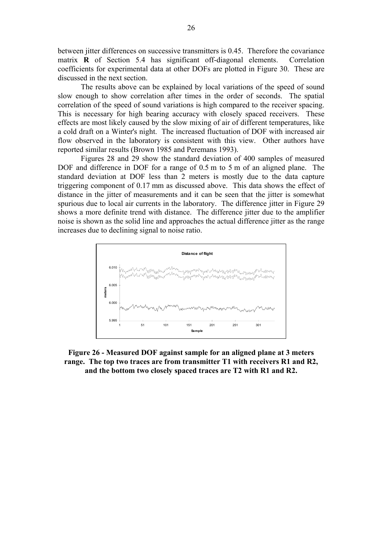between jitter differences on successive transmitters is 0.45. Therefore the covariance matrix **R** of Section 5.4 has significant off-diagonal elements. Correlation coefficients for experimental data at other DOFs are plotted in Figure 30. These are discussed in the next section.

The results above can be explained by local variations of the speed of sound slow enough to show correlation after times in the order of seconds. The spatial correlation of the speed of sound variations is high compared to the receiver spacing. This is necessary for high bearing accuracy with closely spaced receivers. These effects are most likely caused by the slow mixing of air of different temperatures, like a cold draft on a Winter's night. The increased fluctuation of DOF with increased air flow observed in the laboratory is consistent with this view. Other authors have reported similar results (Brown 1985 and Peremans 1993).

Figures 28 and 29 show the standard deviation of 400 samples of measured DOF and difference in DOF for a range of  $0.5$  m to 5 m of an aligned plane. The standard deviation at DOF less than 2 meters is mostly due to the data capture triggering component of 0.17 mm as discussed above. This data shows the effect of distance in the jitter of measurements and it can be seen that the jitter is somewhat spurious due to local air currents in the laboratory. The difference jitter in Figure 29 shows a more definite trend with distance. The difference jitter due to the amplifier noise is shown as the solid line and approaches the actual difference jitter as the range increases due to declining signal to noise ratio.



**Figure 26 - Measured DOF against sample for an aligned plane at 3 meters range. The top two traces are from transmitter T1 with receivers R1 and R2, and the bottom two closely spaced traces are T2 with R1 and R2.**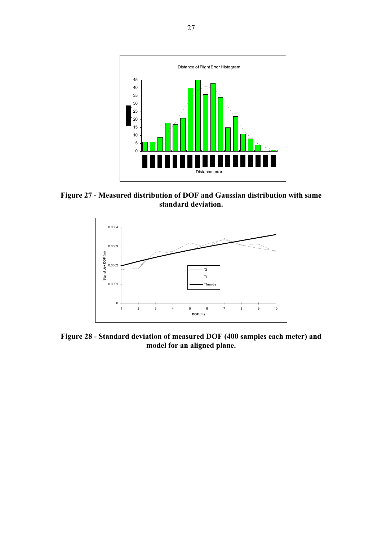

**Figure 27 - Measured distribution of DOF and Gaussian distribution with same standard deviation.** 



**Figure 28 - Standard deviation of measured DOF (400 samples each meter) and model for an aligned plane.**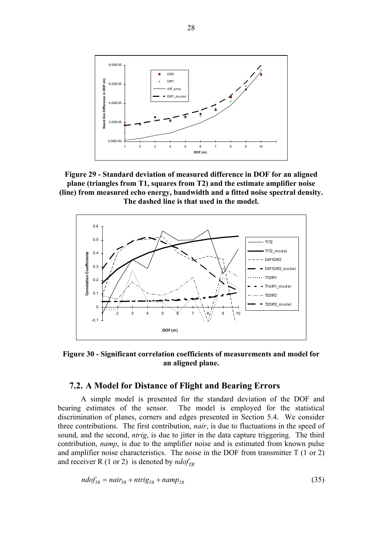

**Figure 29 - Standard deviation of measured difference in DOF for an aligned plane (triangles from T1, squares from T2) and the estimate amplifier noise (line) from measured echo energy, bandwidth and a fitted noise spectral density. The dashed line is that used in the model.** 



**Figure 30 - Significant correlation coefficients of measurements and model for an aligned plane.** 

## **7.2. A Model for Distance of Flight and Bearing Errors**

A simple model is presented for the standard deviation of the DOF and bearing estimates of the sensor. The model is employed for the statistical discrimination of planes, corners and edges presented in Section 5.4. We consider three contributions. The first contribution, *nair*, is due to fluctuations in the speed of sound, and the second, *ntrig*, is due to jitter in the data capture triggering. The third contribution, *namp*, is due to the amplifier noise and is estimated from known pulse and amplifier noise characteristics. The noise in the DOF from transmitter T (1 or 2) and receiver R (1 or 2) is denoted by  $ndof_{TR}$ 

$$
ndof_{TR} = nair_{TR} + ntrig_{TR} + namp_{TR}
$$
\n(35)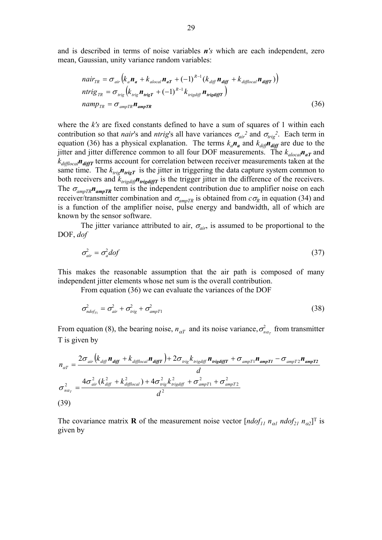and is described in terms of noise variables *n's* which are each independent, zero mean, Gaussian, unity variance random variables:

$$
nair_{TR} = \sigma_{air} (k_a \mathbf{n}_a + k_{alocal} \mathbf{n}_{aT} + (-1)^{R-1} (k_{diff} \mathbf{n}_{diff} + k_{difflocal} \mathbf{n}_{diff}) )
$$
  
\n
$$
ntrig_{TR} = \sigma_{trig} (k_{trig} \mathbf{n}_{trigT} + (-1)^{R-1} k_{trigdiff} \mathbf{n}_{trigdiff})
$$
  
\n
$$
namp_{TR} = \sigma_{ampTR} \mathbf{n}_{ampTR}
$$
\n(36)

where the *k's* are fixed constants defined to have a sum of squares of 1 within each contribution so that *nair's* and *ntrig's* all have variances  $\sigma_{air}^2$  and  $\sigma_{trig}^2$ . Each term in equation (36) has a physical explanation. The terms  $k_a n_a$  and  $k_{diff} n_{diff}$  are due to the jitter and jitter difference common to all four DOF measurements. The  $k_{alocal}$ *n*<sub>aT</sub> and *k*<sub>difflocal</sub>**n**<sub>diffT</sub> terms account for correlation between receiver measurements taken at the same time. The  $k_{trig}$  $n_{trigT}$  is the jitter in triggering the data capture system common to both receivers and  $k_{trigdiff}$  *n<sub>trigdiffT</sub>* is the trigger jitter in the difference of the receivers. The  $\sigma_{ampTR}$ *n<sub>ampTR</sub>* term is the independent contribution due to amplifier noise on each receiver/transmitter combination and  $\sigma_{ampTR}$  is obtained from  $c\sigma_R$  in equation (34) and is a function of the amplifier noise, pulse energy and bandwidth, all of which are known by the sensor software.

The jitter variance attributed to air,  $\sigma_{air}$ , is assumed to be proportional to the DOF, *dof* 

$$
\sigma_{air}^2 = \sigma_a^2 dof \tag{37}
$$

This makes the reasonable assumption that the air path is composed of many independent jitter elements whose net sum is the overall contribution.

From equation (36) we can evaluate the variances of the DOF

$$
\sigma_{ndof_{T1}}^2 = \sigma_{air}^2 + \sigma_{trig}^2 + \sigma_{ampT1}^2 \tag{38}
$$

From equation (8), the bearing noise,  $n_{\alpha T}$  and its noise variance,  $\sigma_{n\alpha T}^2$  from transmitter T is given by

$$
n_{\alpha T} = \frac{2\sigma_{air} \left(k_{diff} \mathbf{n}_{diff} + k_{difflocal} \mathbf{n}_{diffT}\right) + 2\sigma_{trig} k_{trigdiff} \mathbf{n}_{trigdiff} + \sigma_{ampT1} \mathbf{n}_{ampT1} - \sigma_{ampT2} \mathbf{n}_{ampT2}}{d}
$$

$$
\sigma_{n\alpha_{T}}^{2} = \frac{4\sigma_{air}^{2} \left(k_{diff}^{2} + k_{difflocal}^{2}\right) + 4\sigma_{trig}^{2} k_{trigdiff}^{2} + \sigma_{ampT1}^{2} + \sigma_{ampT2}^{2}}{d^{2}}
$$
(39)

The covariance matrix **R** of the measurement noise vector  $[ndof_{11} n_{\alpha1} ndof_{21} n_{\alpha2}]^T$  is given by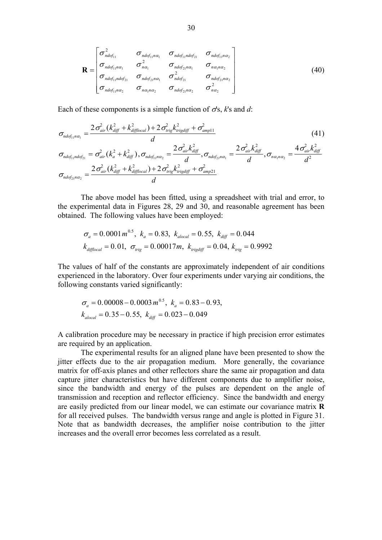$$
\mathbf{R} = \begin{bmatrix} \sigma_{ndof_{11}}^{2} & \sigma_{ndof_{11}na_{1}} & \sigma_{ndof_{11}ndof_{21}} & \sigma_{ndof_{11}na_{2}} \\ \sigma_{ndof_{11}na_{1}} & \sigma_{nG_{1}}^{2} & \sigma_{ndof_{21}na_{1}} & \sigma_{na_{1}na_{2}} \\ \sigma_{ndof_{11}ndof_{21}} & \sigma_{ndof_{21}na_{1}} & \sigma_{ndof_{21}}^{2} & \sigma_{ndof_{21}na_{2}} \\ \sigma_{ndof_{11}na_{2}} & \sigma_{na_{1}na_{2}} & \sigma_{ndof_{21}na_{2}} & \sigma_{na_{2}}^{2} \end{bmatrix}
$$
(40)

Each of these components is a simple function of  $\sigma$ 's, *k*'s and *d*:

$$
\sigma_{ndof_{11}n\alpha_{1}} = \frac{2\sigma_{air}^{2}(k_{diff}^{2} + k_{difflocal}^{2}) + 2\sigma_{trig}^{2}k_{trigdiff}^{2} + \sigma_{amp11}^{2}}{d}
$$
\n
$$
\sigma_{ndof_{11}ndof_{21}} = \sigma_{air}^{2}(k_{a}^{2} + k_{diff}^{2}), \sigma_{ndof_{11}n\alpha_{2}} = \frac{2\sigma_{air}^{2}k_{diff}^{2}}{d}, \sigma_{ndof_{21}n\alpha_{1}} = \frac{2\sigma_{air}^{2}k_{diff}^{2}}{d}, \sigma_{n\alpha_{1}n\alpha_{2}} = \frac{4\sigma_{air}^{2}k_{diff}^{2}}{d}
$$
\n
$$
\sigma_{ndof_{21}n\alpha_{2}} = \frac{2\sigma_{air}^{2}(k_{diff}^{2} + k_{difflocal}^{2}) + 2\sigma_{trig}^{2}k_{rigdiff}^{2} + \sigma_{amp21}^{2}}{d}
$$
\n(41)

The above model has been fitted, using a spreadsheet with trial and error, to the experimental data in Figures 28, 29 and 30, and reasonable agreement has been obtained. The following values have been employed:

$$
\sigma_a = 0.0001 m^{0.5}
$$
,  $k_a = 0.83$ ,  $k_{alocal} = 0.55$ ,  $k_{diff} = 0.044$   
 $k_{difflocal} = 0.01$ ,  $\sigma_{trig} = 0.00017m$ ,  $k_{trigdiff} = 0.04$ ,  $k_{trig} = 0.9992$ 

The values of half of the constants are approximately independent of air conditions experienced in the laboratory. Over four experiments under varying air conditions, the following constants varied significantly:

$$
\sigma_a = 0.00008 - 0.0003 m^{0.5}
$$
,  $k_a = 0.83 - 0.93$ ,  
\n $k_{alocal} = 0.35 - 0.55$ ,  $k_{diff} = 0.023 - 0.049$ 

A calibration procedure may be necessary in practice if high precision error estimates are required by an application.

The experimental results for an aligned plane have been presented to show the jitter effects due to the air propagation medium. More generally, the covariance matrix for off-axis planes and other reflectors share the same air propagation and data capture jitter characteristics but have different components due to amplifier noise, since the bandwidth and energy of the pulses are dependent on the angle of transmission and reception and reflector efficiency. Since the bandwidth and energy are easily predicted from our linear model, we can estimate our covariance matrix **R** for all received pulses. The bandwidth versus range and angle is plotted in Figure 31. Note that as bandwidth decreases, the amplifier noise contribution to the jitter increases and the overall error becomes less correlated as a result.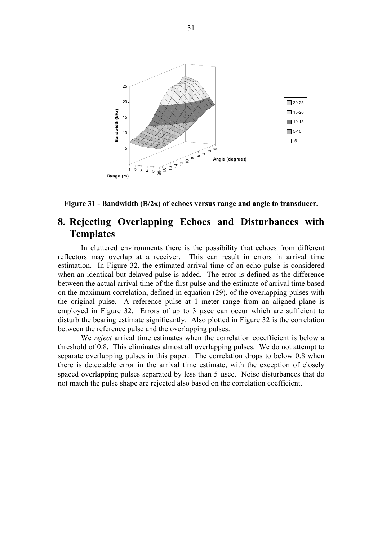



# **8. Rejecting Overlapping Echoes and Disturbances with Templates**

In cluttered environments there is the possibility that echoes from different reflectors may overlap at a receiver. This can result in errors in arrival time estimation. In Figure 32, the estimated arrival time of an echo pulse is considered when an identical but delayed pulse is added. The error is defined as the difference between the actual arrival time of the first pulse and the estimate of arrival time based on the maximum correlation, defined in equation (29), of the overlapping pulses with the original pulse. A reference pulse at 1 meter range from an aligned plane is employed in Figure 32. Errors of up to 3 µsec can occur which are sufficient to disturb the bearing estimate significantly. Also plotted in Figure 32 is the correlation between the reference pulse and the overlapping pulses.

We *reject* arrival time estimates when the correlation coeefficient is below a threshold of 0.8. This eliminates almost all overlapping pulses. We do not attempt to separate overlapping pulses in this paper. The correlation drops to below 0.8 when there is detectable error in the arrival time estimate, with the exception of closely spaced overlapping pulses separated by less than 5 µsec. Noise disturbances that do not match the pulse shape are rejected also based on the correlation coefficient.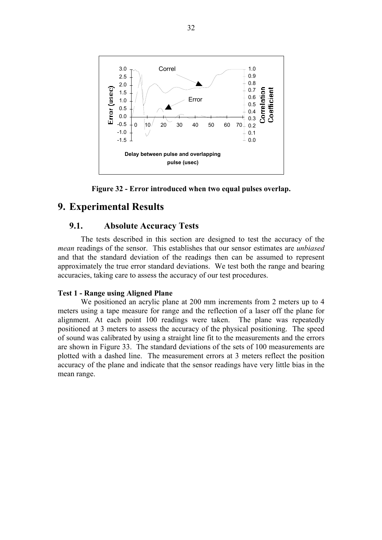

**Figure 32 - Error introduced when two equal pulses overlap.**

# **9. Experimental Results**

## **9.1. Absolute Accuracy Tests**

The tests described in this section are designed to test the accuracy of the *mean* readings of the sensor. This establishes that our sensor estimates are *unbiased* and that the standard deviation of the readings then can be assumed to represent approximately the true error standard deviations. We test both the range and bearing accuracies, taking care to assess the accuracy of our test procedures.

#### **Test 1 - Range using Aligned Plane**

We positioned an acrylic plane at 200 mm increments from 2 meters up to 4 meters using a tape measure for range and the reflection of a laser off the plane for alignment. At each point 100 readings were taken. The plane was repeatedly positioned at 3 meters to assess the accuracy of the physical positioning. The speed of sound was calibrated by using a straight line fit to the measurements and the errors are shown in Figure 33. The standard deviations of the sets of 100 measurements are plotted with a dashed line. The measurement errors at 3 meters reflect the position accuracy of the plane and indicate that the sensor readings have very little bias in the mean range.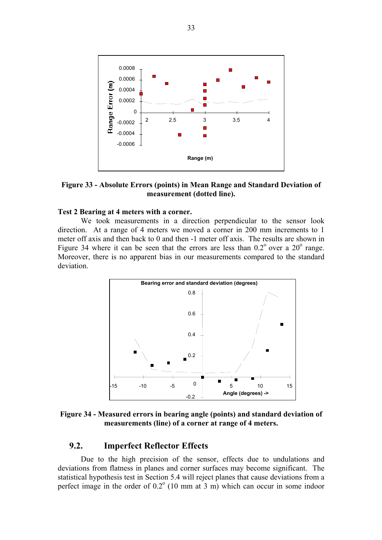

**Figure 33 - Absolute Errors (points) in Mean Range and Standard Deviation of measurement (dotted line).** 

#### **Test 2 Bearing at 4 meters with a corner.**

We took measurements in a direction perpendicular to the sensor look direction. At a range of 4 meters we moved a corner in 200 mm increments to 1 meter off axis and then back to 0 and then -1 meter off axis. The results are shown in Figure 34 where it can be seen that the errors are less than  $0.2^{\circ}$  over a  $20^{\circ}$  range. Moreover, there is no apparent bias in our measurements compared to the standard deviation.



**Figure 34 - Measured errors in bearing angle (points) and standard deviation of measurements (line) of a corner at range of 4 meters.**

## **9.2. Imperfect Reflector Effects**

Due to the high precision of the sensor, effects due to undulations and deviations from flatness in planes and corner surfaces may become significant. The statistical hypothesis test in Section 5.4 will reject planes that cause deviations from a perfect image in the order of  $0.2^{\circ}$  (10 mm at 3 m) which can occur in some indoor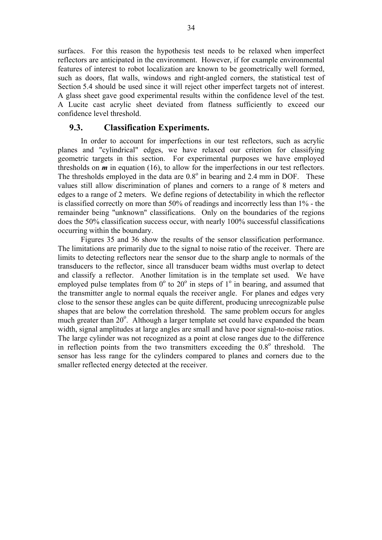surfaces. For this reason the hypothesis test needs to be relaxed when imperfect reflectors are anticipated in the environment. However, if for example environmental features of interest to robot localization are known to be geometrically well formed, such as doors, flat walls, windows and right-angled corners, the statistical test of Section 5.4 should be used since it will reject other imperfect targets not of interest. A glass sheet gave good experimental results within the confidence level of the test. A Lucite cast acrylic sheet deviated from flatness sufficiently to exceed our confidence level threshold.

## **9.3. Classification Experiments.**

In order to account for imperfections in our test reflectors, such as acrylic planes and "cylindrical" edges, we have relaxed our criterion for classifying geometric targets in this section. For experimental purposes we have employed thresholds on *m* in equation (16), to allow for the imperfections in our test reflectors. The thresholds employed in the data are  $0.8^\circ$  in bearing and 2.4 mm in DOF. These values still allow discrimination of planes and corners to a range of 8 meters and edges to a range of 2 meters. We define regions of detectability in which the reflector is classified correctly on more than 50% of readings and incorrectly less than 1% - the remainder being "unknown" classifications. Only on the boundaries of the regions does the 50% classification success occur, with nearly 100% successful classifications occurring within the boundary.

Figures 35 and 36 show the results of the sensor classification performance. The limitations are primarily due to the signal to noise ratio of the receiver. There are limits to detecting reflectors near the sensor due to the sharp angle to normals of the transducers to the reflector, since all transducer beam widths must overlap to detect and classify a reflector. Another limitation is in the template set used. We have employed pulse templates from  $0^{\circ}$  to  $20^{\circ}$  in steps of  $1^{\circ}$  in bearing, and assumed that the transmitter angle to normal equals the receiver angle. For planes and edges very close to the sensor these angles can be quite different, producing unrecognizable pulse shapes that are below the correlation threshold. The same problem occurs for angles much greater than 20°. Although a larger template set could have expanded the beam width, signal amplitudes at large angles are small and have poor signal-to-noise ratios. The large cylinder was not recognized as a point at close ranges due to the difference in reflection points from the two transmitters exceeding the  $0.8^\circ$  threshold. The sensor has less range for the cylinders compared to planes and corners due to the smaller reflected energy detected at the receiver.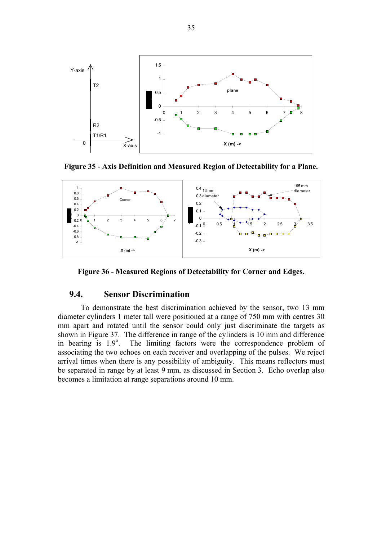

**Figure 35 - Axis Definition and Measured Region of Detectability for a Plane.** 





## **9.4. Sensor Discrimination**

To demonstrate the best discrimination achieved by the sensor, two 13 mm diameter cylinders 1 meter tall were positioned at a range of 750 mm with centres 30 mm apart and rotated until the sensor could only just discriminate the targets as shown in Figure 37. The difference in range of the cylinders is 10 mm and difference in bearing is  $1.9^\circ$ . The limiting factors were the correspondence problem of associating the two echoes on each receiver and overlapping of the pulses. We reject arrival times when there is any possibility of ambiguity. This means reflectors must be separated in range by at least 9 mm, as discussed in Section 3. Echo overlap also becomes a limitation at range separations around 10 mm.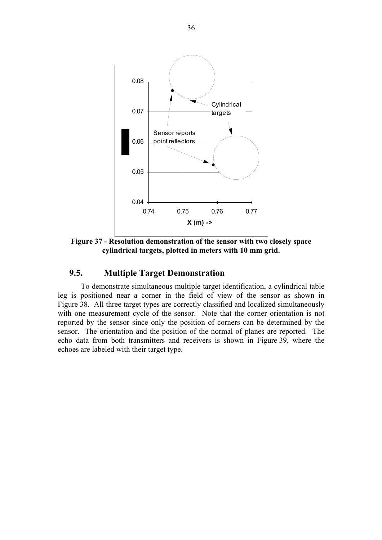

**Figure 37 - Resolution demonstration of the sensor with two closely space cylindrical targets, plotted in meters with 10 mm grid.** 

## **9.5. Multiple Target Demonstration**

To demonstrate simultaneous multiple target identification, a cylindrical table leg is positioned near a corner in the field of view of the sensor as shown in Figure 38. All three target types are correctly classified and localized simultaneously with one measurement cycle of the sensor. Note that the corner orientation is not reported by the sensor since only the position of corners can be determined by the sensor. The orientation and the position of the normal of planes are reported. The echo data from both transmitters and receivers is shown in Figure 39, where the echoes are labeled with their target type.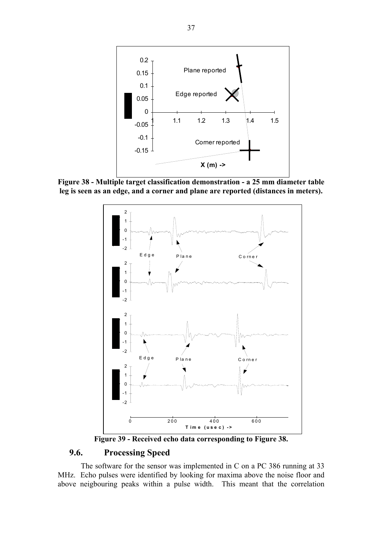

**Figure 38 - Multiple target classification demonstration - a 25 mm diameter table leg is seen as an edge, and a corner and plane are reported (distances in meters).** 



**Figure 39 - Received echo data corresponding to Figure 38.**

## **9.6. Processing Speed**

The software for the sensor was implemented in C on a PC 386 running at 33 MHz. Echo pulses were identified by looking for maxima above the noise floor and above neigbouring peaks within a pulse width. This meant that the correlation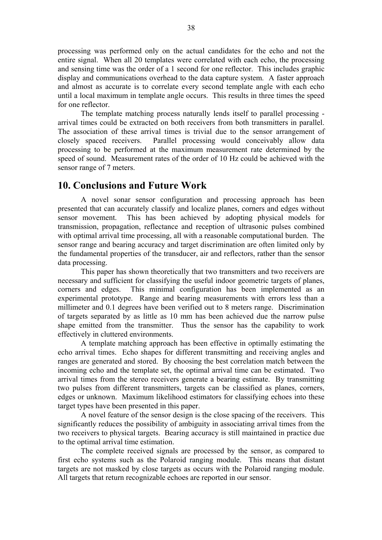processing was performed only on the actual candidates for the echo and not the entire signal. When all 20 templates were correlated with each echo, the processing and sensing time was the order of a 1 second for one reflector. This includes graphic display and communications overhead to the data capture system. A faster approach and almost as accurate is to correlate every second template angle with each echo until a local maximum in template angle occurs. This results in three times the speed for one reflector.

The template matching process naturally lends itself to parallel processing arrival times could be extracted on both receivers from both transmitters in parallel. The association of these arrival times is trivial due to the sensor arrangement of closely spaced receivers. Parallel processing would conceivably allow data processing to be performed at the maximum measurement rate determined by the speed of sound. Measurement rates of the order of 10 Hz could be achieved with the sensor range of 7 meters.

## **10. Conclusions and Future Work**

A novel sonar sensor configuration and processing approach has been presented that can accurately classify and localize planes, corners and edges without sensor movement. This has been achieved by adopting physical models for transmission, propagation, reflectance and reception of ultrasonic pulses combined with optimal arrival time processing, all with a reasonable computational burden. The sensor range and bearing accuracy and target discrimination are often limited only by the fundamental properties of the transducer, air and reflectors, rather than the sensor data processing.

This paper has shown theoretically that two transmitters and two receivers are necessary and sufficient for classifying the useful indoor geometric targets of planes, corners and edges. This minimal configuration has been implemented as an experimental prototype. Range and bearing measurements with errors less than a millimeter and 0.1 degrees have been verified out to 8 meters range. Discrimination of targets separated by as little as 10 mm has been achieved due the narrow pulse shape emitted from the transmitter. Thus the sensor has the capability to work effectively in cluttered environments.

A template matching approach has been effective in optimally estimating the echo arrival times. Echo shapes for different transmitting and receiving angles and ranges are generated and stored. By choosing the best correlation match between the incoming echo and the template set, the optimal arrival time can be estimated. Two arrival times from the stereo receivers generate a bearing estimate. By transmitting two pulses from different transmitters, targets can be classified as planes, corners, edges or unknown. Maximum likelihood estimators for classifying echoes into these target types have been presented in this paper.

A novel feature of the sensor design is the close spacing of the receivers. This significantly reduces the possibility of ambiguity in associating arrival times from the two receivers to physical targets. Bearing accuracy is still maintained in practice due to the optimal arrival time estimation.

The complete received signals are processed by the sensor, as compared to first echo systems such as the Polaroid ranging module. This means that distant targets are not masked by close targets as occurs with the Polaroid ranging module. All targets that return recognizable echoes are reported in our sensor.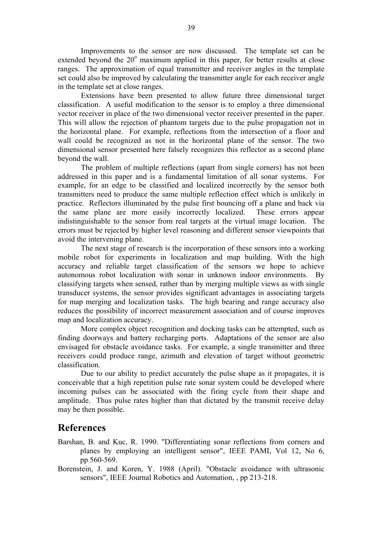Improvements to the sensor are now discussed. The template set can be extended beyond the  $20^{\circ}$  maximum applied in this paper, for better results at close ranges. The approximation of equal transmitter and receiver angles in the template set could also be improved by calculating the transmitter angle for each receiver angle in the template set at close ranges.

Extensions have been presented to allow future three dimensional target classification. A useful modification to the sensor is to employ a three dimensional vector receiver in place of the two dimensional vector receiver presented in the paper. This will allow the rejection of phantom targets due to the pulse propagation not in the horizontal plane. For example, reflections from the intersection of a floor and wall could be recognized as not in the horizontal plane of the sensor. The two dimensional sensor presented here falsely recognizes this reflector as a second plane beyond the wall.

The problem of multiple reflections (apart from single corners) has not been addressed in this paper and is a fundamental limitation of all sonar systems. For example, for an edge to be classified and localized incorrectly by the sensor both transmitters need to produce the same multiple reflection effect which is unlikely in practice. Reflectors illuminated by the pulse first bouncing off a plane and back via the same plane are more easily incorrectly localized. These errors appear indistinguishable to the sensor from real targets at the virtual image location. The errors must be rejected by higher level reasoning and different sensor viewpoints that avoid the intervening plane.

The next stage of research is the incorporation of these sensors into a working mobile robot for experiments in localization and map building. With the high accuracy and reliable target classification of the sensors we hope to achieve autonomous robot localization with sonar in unknown indoor environments. By classifying targets when sensed, rather than by merging multiple views as with single transducer systems, the sensor provides significant advantages in associating targets for map merging and localization tasks. The high bearing and range accuracy also reduces the possibility of incorrect measurement association and of course improves map and localization accuracy.

More complex object recognition and docking tasks can be attempted, such as finding doorways and battery recharging ports. Adaptations of the sensor are also envisaged for obstacle avoidance tasks. For example, a single transmitter and three receivers could produce range, azimuth and elevation of target without geometric classification.

Due to our ability to predict accurately the pulse shape as it propagates, it is conceivable that a high repetition pulse rate sonar system could be developed where incoming pulses can be associated with the firing cycle from their shape and amplitude. Thus pulse rates higher than that dictated by the transmit receive delay may be then possible.

# **References**

- Barshan, B. and Kuc, R. 1990. "Differentiating sonar reflections from corners and planes by employing an intelligent sensor", IEEE PAMI, Vol 12, No 6, pp 560-569.
- Borenstein, J. and Koren, Y. 1988 (April). "Obstacle avoidance with ultrasonic sensors", IEEE Journal Robotics and Automation, , pp 213-218.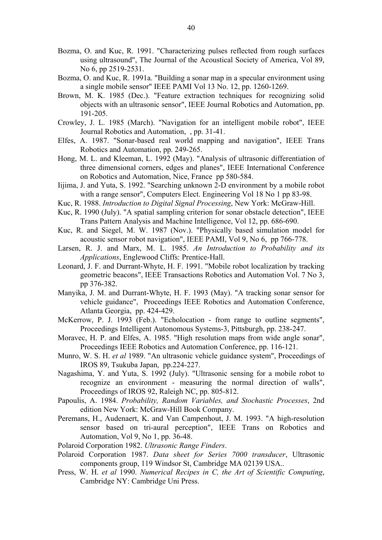- Bozma, O. and Kuc, R. 1991. "Characterizing pulses reflected from rough surfaces using ultrasound", The Journal of the Acoustical Society of America, Vol 89, No 6, pp 2519-2531.
- Bozma, O. and Kuc, R. 1991a. "Building a sonar map in a specular environment using a single mobile sensor" IEEE PAMI Vol 13 No. 12, pp. 1260-1269.
- Brown, M. K. 1985 (Dec.). "Feature extraction techniques for recognizing solid objects with an ultrasonic sensor", IEEE Journal Robotics and Automation, pp. 191-205.
- Crowley, J. L. 1985 (March). "Navigation for an intelligent mobile robot", IEEE Journal Robotics and Automation, , pp. 31-41.
- Elfes, A. 1987. "Sonar-based real world mapping and navigation", IEEE Trans Robotics and Automation, pp. 249-265.
- Hong, M. L. and Kleeman, L. 1992 (May). "Analysis of ultrasonic differentiation of three dimensional corners, edges and planes", IEEE International Conference on Robotics and Automation, Nice, France pp 580-584.
- Iijima, J. and Yuta, S. 1992. "Searching unknown 2-D environment by a mobile robot with a range sensor", Computers Elect. Engineering Vol 18 No 1 pp 83-98.
- Kuc, R. 1988. *Introduction to Digital Signal Processing*, New York: McGraw-Hill.
- Kuc, R. 1990 (July). "A spatial sampling criterion for sonar obstacle detection", IEEE Trans Pattern Analysis and Machine Intelligence, Vol 12, pp. 686-690.
- Kuc, R. and Siegel, M. W. 1987 (Nov.). "Physically based simulation model for acoustic sensor robot navigation", IEEE PAMI, Vol 9, No 6, pp 766-778.
- Larsen, R. J. and Marx, M. L. 1985. *An Introduction to Probability and its Applications*, Englewood Cliffs: Prentice-Hall.
- Leonard, J. F. and Durrant-Whyte, H. F. 1991. "Mobile robot localization by tracking geometric beacons", IEEE Transactions Robotics and Automation Vol. 7 No 3, pp 376-382.
- Manyika, J. M. and Durrant-Whyte, H. F. 1993 (May). "A tracking sonar sensor for vehicle guidance", Proceedings IEEE Robotics and Automation Conference, Atlanta Georgia, pp. 424-429.
- McKerrow, P. J. 1993 (Feb.). "Echolocation from range to outline segments", Proceedings Intelligent Autonomous Systems-3, Pittsburgh, pp. 238-247.
- Moravec, H. P. and Elfes, A. 1985. "High resolution maps from wide angle sonar", Proceedings IEEE Robotics and Automation Conference, pp. 116-121.
- Munro, W. S. H. *et al* 1989. "An ultrasonic vehicle guidance system", Proceedings of IROS 89, Tsukuba Japan, pp.224-227.
- Nagashima, Y. and Yuta, S. 1992 (July). "Ultrasonic sensing for a mobile robot to recognize an environment - measuring the normal direction of walls", Proceedings of IROS 92, Raleigh NC, pp. 805-812.
- Papoulis, A. 1984. *Probability, Random Variables, and Stochastic Processes*, 2nd edition New York: McGraw-Hill Book Company.
- Peremans, H., Audenaert, K. and Van Campenhout, J. M. 1993. "A high-resolution sensor based on tri-aural perception", IEEE Trans on Robotics and Automation, Vol 9, No 1, pp. 36-48.
- Polaroid Corporation 1982. *Ultrasonic Range Finders*.
- Polaroid Corporation 1987. *Data sheet for Series 7000 transducer*, Ultrasonic components group, 119 Windsor St, Cambridge MA 02139 USA..
- Press, W. H. *et al* 1990. *Numerical Recipes in C, the Art of Scientific Computing*, Cambridge NY: Cambridge Uni Press.